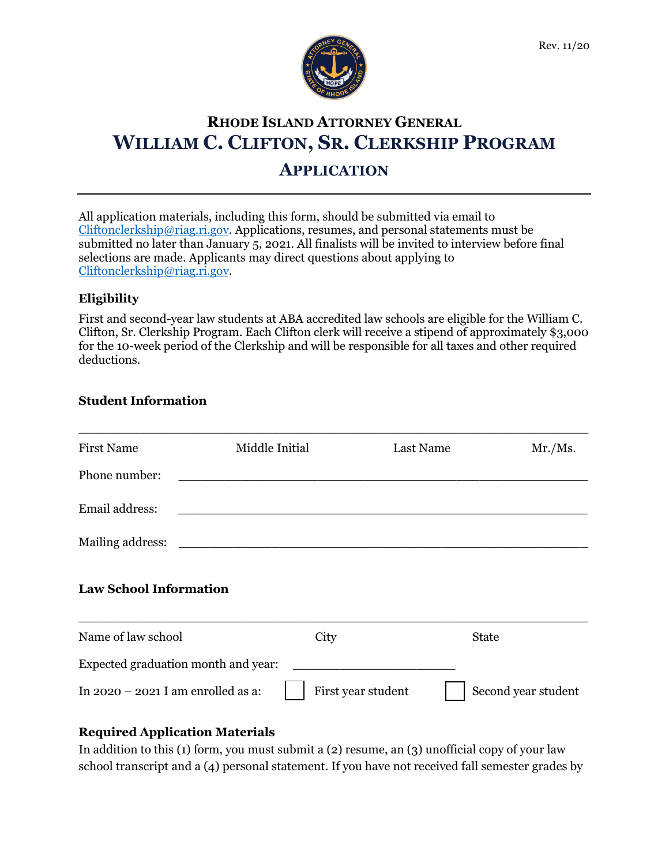

# **RHODE ISLAND ATTORNEY GENERAL WILLIAM C. CLIFTON, SR. CLERKSHIP PROGRAM**

## **APPLICATION**

All application materials, including this form, should be submitted via email to [Cliftonclerkship@riag.ri.gov.](mailto:Cliftonclerkship@riag.ri.gov) Applications, resumes, and personal statements must be submitted no later than January 5, 2021. All finalists will be invited to interview before final selections are made. Applicants may direct questions about applying to [Cliftonclerkship@riag.ri.gov.](mailto:Cliftonclerkship@riag.ri.gov)

### **Eligibility**

First and second-year law students at ABA accredited law schools are eligible for the William C. Clifton, Sr. Clerkship Program. Each Clifton clerk will receive a stipend of approximately \$3,000 for the 10-week period of the Clerkship and will be responsible for all taxes and other required deductions.

#### **Student Information**

| <b>First Name</b>                    | Middle Initial                                                                                                       | Last Name          | Mr. / Ms.           |
|--------------------------------------|----------------------------------------------------------------------------------------------------------------------|--------------------|---------------------|
| Phone number:                        |                                                                                                                      |                    |                     |
| Email address:                       |                                                                                                                      |                    |                     |
| Mailing address:                     | <u> 1980 - John Stein, mars and de final and de final and de final and de final and de final and de final and de</u> |                    |                     |
| <b>Law School Information</b>        |                                                                                                                      |                    |                     |
| Name of law school                   | City                                                                                                                 | <b>State</b>       |                     |
| Expected graduation month and year:  |                                                                                                                      |                    |                     |
| In $2020 - 2021$ I am enrolled as a: |                                                                                                                      | First year student | Second year student |
|                                      |                                                                                                                      |                    |                     |

#### **Required Application Materials**

In addition to this (1) form, you must submit a (2) resume, an (3) unofficial copy of your law school transcript and a (4) personal statement. If you have not received fall semester grades by